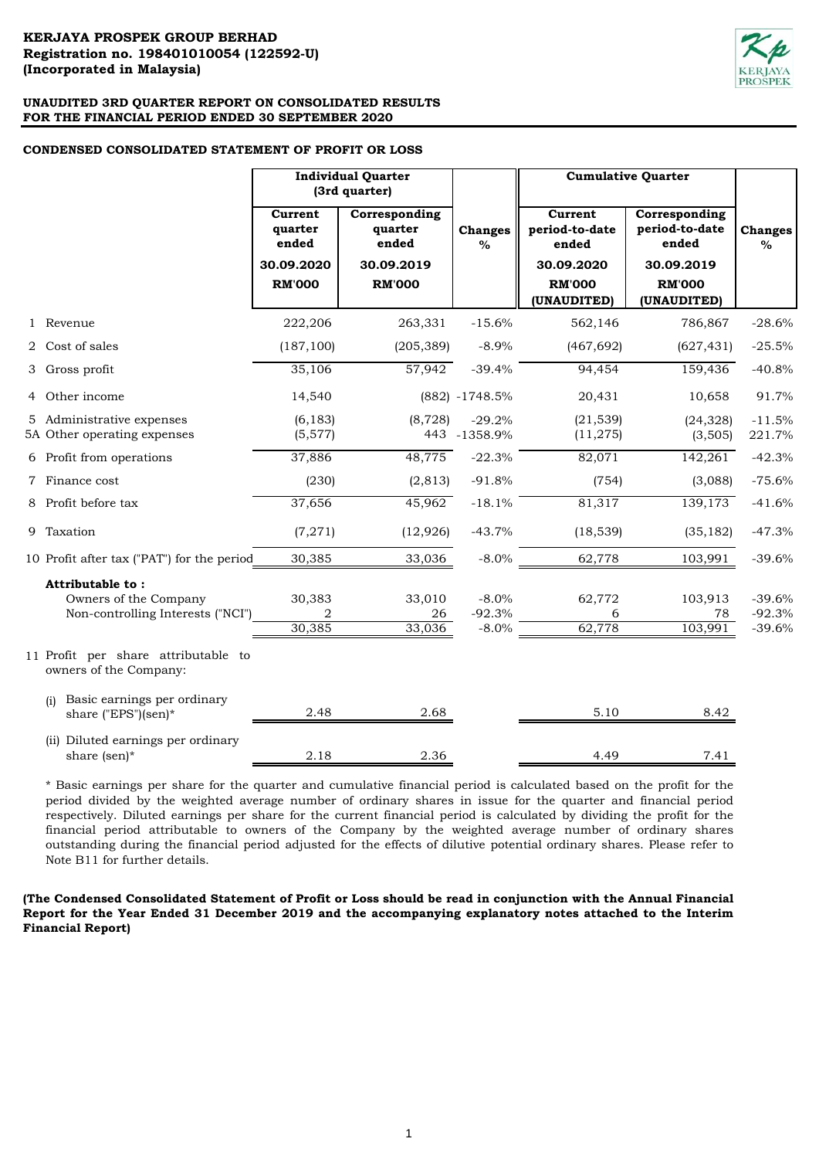### **CONDENSED CONSOLIDATED STATEMENT OF PROFIT OR LOSS**

|                                                                                | <b>Individual Quarter</b><br>(3rd quarter)                 |                                                                  |                                 |                                                                          |                                                                         | <b>Cumulative Quarter</b>        |  |
|--------------------------------------------------------------------------------|------------------------------------------------------------|------------------------------------------------------------------|---------------------------------|--------------------------------------------------------------------------|-------------------------------------------------------------------------|----------------------------------|--|
|                                                                                | Current<br>quarter<br>ended<br>30.09.2020<br><b>RM'000</b> | Corresponding<br>quarter<br>ended<br>30.09.2019<br><b>RM'000</b> | <b>Changes</b><br>$\%$          | <b>Current</b><br>period-to-date<br>ended<br>30.09.2020<br><b>RM'000</b> | Corresponding<br>period-to-date<br>ended<br>30.09.2019<br><b>RM'000</b> | <b>Changes</b><br>$\frac{6}{6}$  |  |
|                                                                                |                                                            |                                                                  |                                 | (UNAUDITED)                                                              | (UNAUDITED)                                                             |                                  |  |
| 1 Revenue                                                                      | 222,206                                                    | 263,331                                                          | $-15.6%$                        | 562,146                                                                  | 786,867                                                                 | $-28.6%$                         |  |
| 2 Cost of sales                                                                | (187, 100)                                                 | (205, 389)                                                       | $-8.9%$                         | (467, 692)                                                               | (627, 431)                                                              | $-25.5%$                         |  |
| 3 Gross profit                                                                 | 35,106                                                     | 57,942                                                           | $-39.4%$                        | 94,454                                                                   | 159,436                                                                 | $-40.8%$                         |  |
| 4 Other income                                                                 | 14,540                                                     |                                                                  | $(882) - 1748.5%$               | 20,431                                                                   | 10,658                                                                  | 91.7%                            |  |
| 5 Administrative expenses<br>5A Other operating expenses                       | (6, 183)<br>(5, 577)                                       | (8, 728)                                                         | $-29.2%$<br>443 -1358.9%        | (21, 539)<br>(11, 275)                                                   | (24, 328)<br>(3,505)                                                    | $-11.5%$<br>221.7%               |  |
| 6 Profit from operations                                                       | 37,886                                                     | 48,775                                                           | $-22.3%$                        | 82,071                                                                   | 142,261                                                                 | $-42.3%$                         |  |
| 7 Finance cost                                                                 | (230)                                                      | (2, 813)                                                         | $-91.8%$                        | (754)                                                                    | (3,088)                                                                 | $-75.6%$                         |  |
| 8 Profit before tax                                                            | 37,656                                                     | 45,962                                                           | $-18.1%$                        | 81,317                                                                   | 139,173                                                                 | $-41.6%$                         |  |
| 9 Taxation                                                                     | (7, 271)                                                   | (12, 926)                                                        | $-43.7%$                        | (18, 539)                                                                | (35, 182)                                                               | $-47.3%$                         |  |
| 10 Profit after tax ("PAT") for the period                                     | 30,385                                                     | 33,036                                                           | $-8.0\%$                        | 62,778                                                                   | 103,991                                                                 | $-39.6%$                         |  |
| Attributable to:<br>Owners of the Company<br>Non-controlling Interests ("NCI") | 30,383<br>2<br>30,385                                      | 33,010<br>26<br>33,036                                           | $-8.0\%$<br>$-92.3%$<br>$-8.0%$ | 62,772<br>6<br>62,778                                                    | 103,913<br>78<br>103,991                                                | $-39.6%$<br>$-92.3%$<br>$-39.6%$ |  |
| 11 Profit per share attributable to<br>owners of the Company:                  |                                                            |                                                                  |                                 |                                                                          |                                                                         |                                  |  |
| Basic earnings per ordinary<br>(i)<br>share ("EPS")(sen)*                      | 2.48                                                       | 2.68                                                             |                                 | 5.10                                                                     | 8.42                                                                    |                                  |  |
| (ii) Diluted earnings per ordinary<br>share $(\text{sen})^*$                   | 2.18                                                       | 2.36                                                             |                                 | 4.49                                                                     | 7.41                                                                    |                                  |  |

\* Basic earnings per share for the quarter and cumulative financial period is calculated based on the profit for the period divided by the weighted average number of ordinary shares in issue for the quarter and financial period respectively. Diluted earnings per share for the current financial period is calculated by dividing the profit for the financial period attributable to owners of the Company by the weighted average number of ordinary shares outstanding during the financial period adjusted for the effects of dilutive potential ordinary shares. Please refer to Note B11 for further details.

(The Condensed Consolidated Statement of Profit or Loss should be read in conjunction with the Annual Financial **Report for the Year Ended 31 December 2019 and the accompanying explanatory notes attached to the Interim Financial Report)**

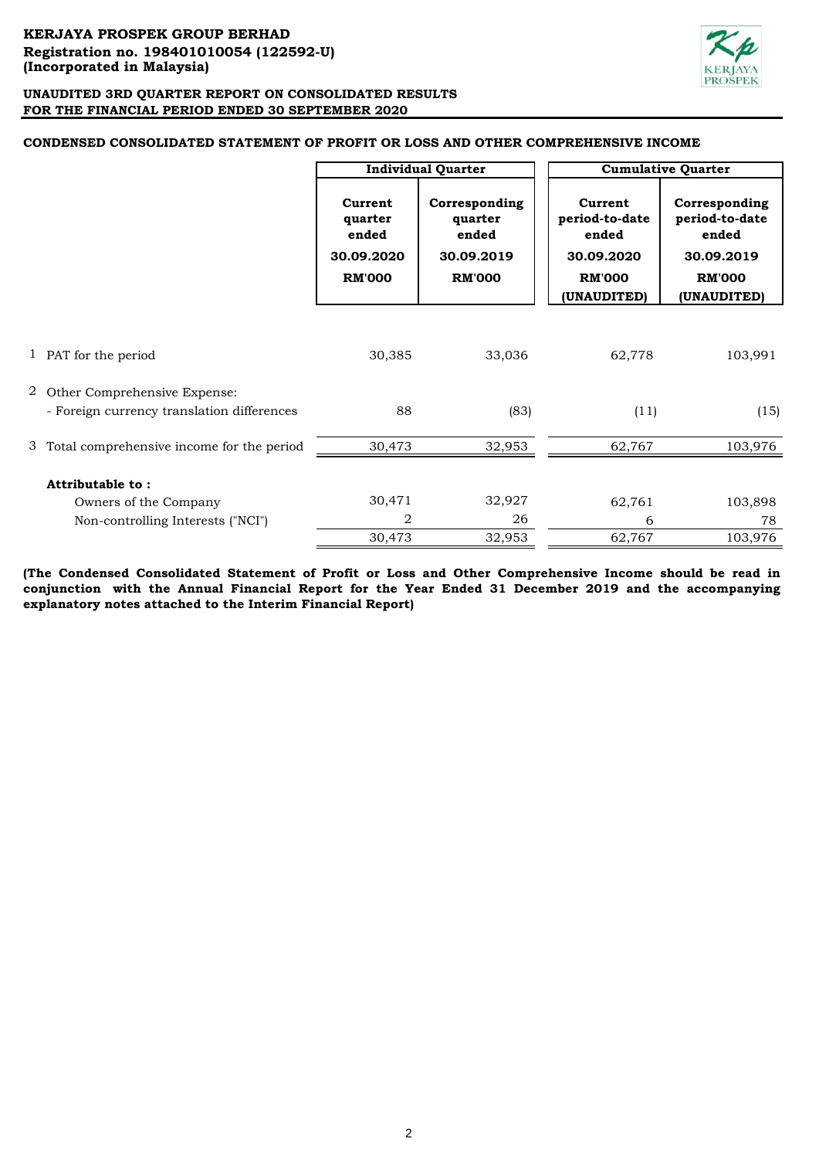

# **CONDENSED CONSOLIDATED STATEMENT OF PROFIT OR LOSS AND OTHER COMPREHENSIVE INCOME**

|                                             | <b>Individual Quarter</b>                                  |                                                                  | <b>Cumulative Quarter</b>                                                        |                                                                                        |
|---------------------------------------------|------------------------------------------------------------|------------------------------------------------------------------|----------------------------------------------------------------------------------|----------------------------------------------------------------------------------------|
|                                             | Current<br>quarter<br>ended<br>30.09.2020<br><b>RM'000</b> | Corresponding<br>quarter<br>ended<br>30.09.2019<br><b>RM'000</b> | Current<br>period-to-date<br>ended<br>30.09.2020<br><b>RM'000</b><br>(UNAUDITED) | Corresponding<br>period-to-date<br>ended<br>30.09.2019<br><b>RM'000</b><br>(UNAUDITED) |
|                                             |                                                            |                                                                  |                                                                                  |                                                                                        |
|                                             |                                                            |                                                                  |                                                                                  |                                                                                        |
| 1 PAT for the period                        | 30,385                                                     | 33,036                                                           | 62,778                                                                           | 103,991                                                                                |
| 2 Other Comprehensive Expense:              |                                                            |                                                                  |                                                                                  |                                                                                        |
| - Foreign currency translation differences  | 88                                                         | (83)                                                             | (11)                                                                             | (15)                                                                                   |
| 3 Total comprehensive income for the period | 30,473                                                     | 32,953                                                           | 62,767                                                                           | 103,976                                                                                |
|                                             |                                                            |                                                                  |                                                                                  |                                                                                        |
| Attributable to:                            |                                                            |                                                                  |                                                                                  |                                                                                        |
| Owners of the Company                       | 30,471                                                     | 32,927                                                           | 62,761                                                                           | 103,898                                                                                |
| Non-controlling Interests ("NCI")           | 2                                                          | 26                                                               | 6                                                                                | 78                                                                                     |
|                                             | 30,473                                                     | 32,953                                                           | 62,767                                                                           | 103,976                                                                                |

**(The Condensed Consolidated Statement of Profit or Loss and Other Comprehensive Income should be read in conjunction with the Annual Financial Report for the Year Ended 31 December 2019 and the accompanying explanatory notes attached to the Interim Financial Report)**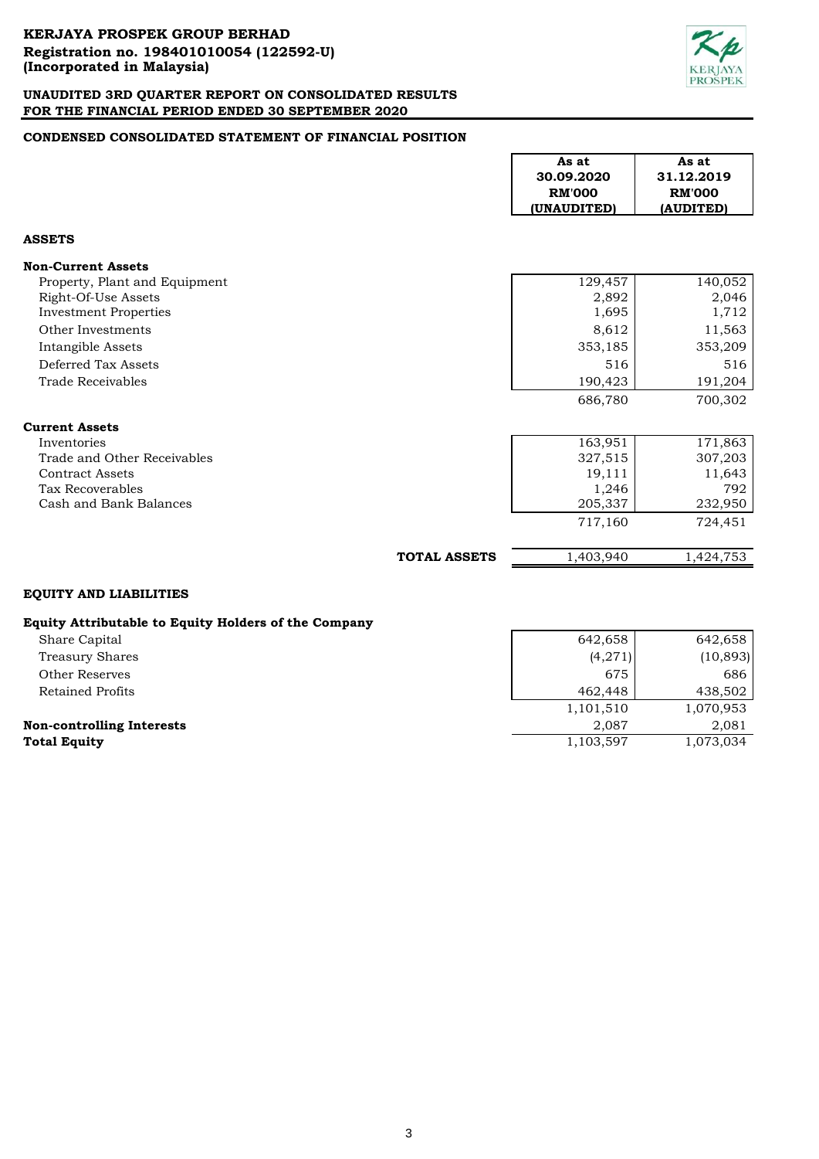

## **CONDENSED CONSOLIDATED STATEMENT OF FINANCIAL POSITION**

|                                                                      |                     | As at<br>30.09.2020<br><b>RM'000</b><br>(UNAUDITED) | As at<br>31.12.2019<br><b>RM'000</b><br>(AUDITED) |
|----------------------------------------------------------------------|---------------------|-----------------------------------------------------|---------------------------------------------------|
| <b>ASSETS</b>                                                        |                     |                                                     |                                                   |
| <b>Non-Current Assets</b><br>Property, Plant and Equipment           |                     | 129,457                                             | 140,052                                           |
| Right-Of-Use Assets<br><b>Investment Properties</b>                  |                     | 2,892<br>1,695                                      | 2,046<br>1,712                                    |
| Other Investments<br>Intangible Assets                               |                     | 8,612<br>353,185                                    | 11,563<br>353,209                                 |
| Deferred Tax Assets<br>Trade Receivables                             |                     | 516<br>190,423                                      | 516<br>191,204                                    |
| <b>Current Assets</b>                                                |                     | 686,780                                             | 700,302                                           |
| Inventories<br>Trade and Other Receivables                           |                     | 163,951<br>327,515                                  | 171,863<br>307,203                                |
| <b>Contract Assets</b><br>Tax Recoverables<br>Cash and Bank Balances |                     | 19,111<br>1,246<br>205,337                          | 11,643<br>792<br>232,950                          |
|                                                                      |                     | 717,160                                             | 724,451                                           |
|                                                                      | <b>TOTAL ASSETS</b> | 1,403,940                                           | 1,424,753                                         |

# **EQUITY AND LIABILITIES**

## **Equity Attributable to Equity Holders of the Company**

Other Reserves Retained Profits Treasury Shares Share Capital

**Total Equity** 

**Non-controlling Interests** 

| 642,658   | 642,658   |
|-----------|-----------|
| (4,271)   | (10, 893) |
| 675       | 686       |
| 462,448   | 438,502   |
| 1,101,510 | 1,070,953 |
| 2,087     | 2,081     |
| 1,103,597 | 1,073,034 |

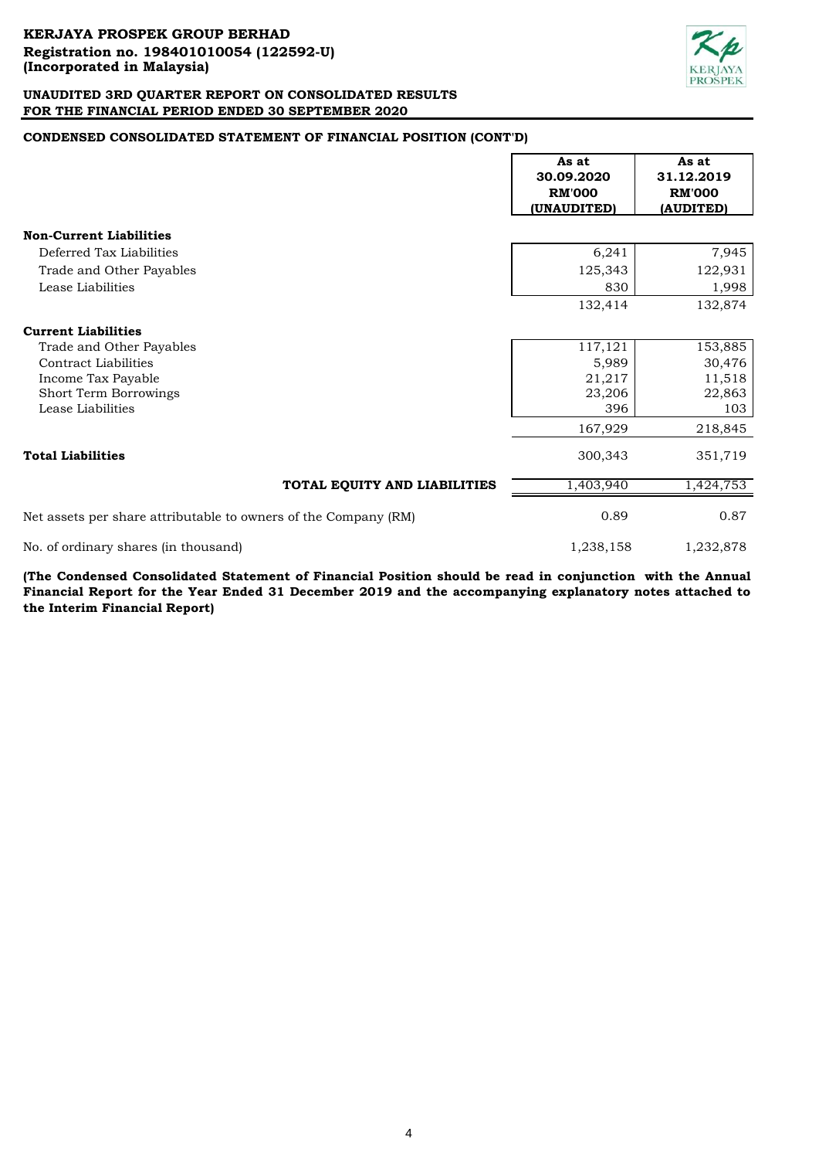

# **CONDENSED CONSOLIDATED STATEMENT OF FINANCIAL POSITION (CONT'D)**

|                                                                 | As at<br>30.09.2020<br><b>RM'000</b><br>(UNAUDITED) | As at<br>31.12.2019<br><b>RM'000</b><br>(AUDITED) |
|-----------------------------------------------------------------|-----------------------------------------------------|---------------------------------------------------|
| <b>Non-Current Liabilities</b>                                  |                                                     |                                                   |
| Deferred Tax Liabilities                                        | 6,241                                               | 7,945                                             |
| Trade and Other Payables                                        | 125,343                                             | 122,931                                           |
| Lease Liabilities                                               | 830                                                 | 1,998                                             |
|                                                                 | 132,414                                             | 132,874                                           |
| <b>Current Liabilities</b>                                      |                                                     |                                                   |
| Trade and Other Payables                                        | 117,121                                             | 153,885                                           |
| <b>Contract Liabilities</b>                                     | 5,989                                               | 30,476                                            |
| Income Tax Payable                                              | 21,217                                              | 11,518                                            |
| Short Term Borrowings                                           | 23,206                                              | 22,863                                            |
| Lease Liabilities                                               | 396                                                 | 103                                               |
|                                                                 | 167,929                                             | 218,845                                           |
| <b>Total Liabilities</b>                                        | 300,343                                             | 351,719                                           |
| TOTAL EQUITY AND LIABILITIES                                    | 1,403,940                                           | 1,424,753                                         |
| Net assets per share attributable to owners of the Company (RM) | 0.89                                                | 0.87                                              |
| No. of ordinary shares (in thousand)                            | 1,238,158                                           | 1,232,878                                         |

**(The Condensed Consolidated Statement of Financial Position should be read in conjunction with the Annual Financial Report for the Year Ended 31 December 2019 and the accompanying explanatory notes attached to the Interim Financial Report)**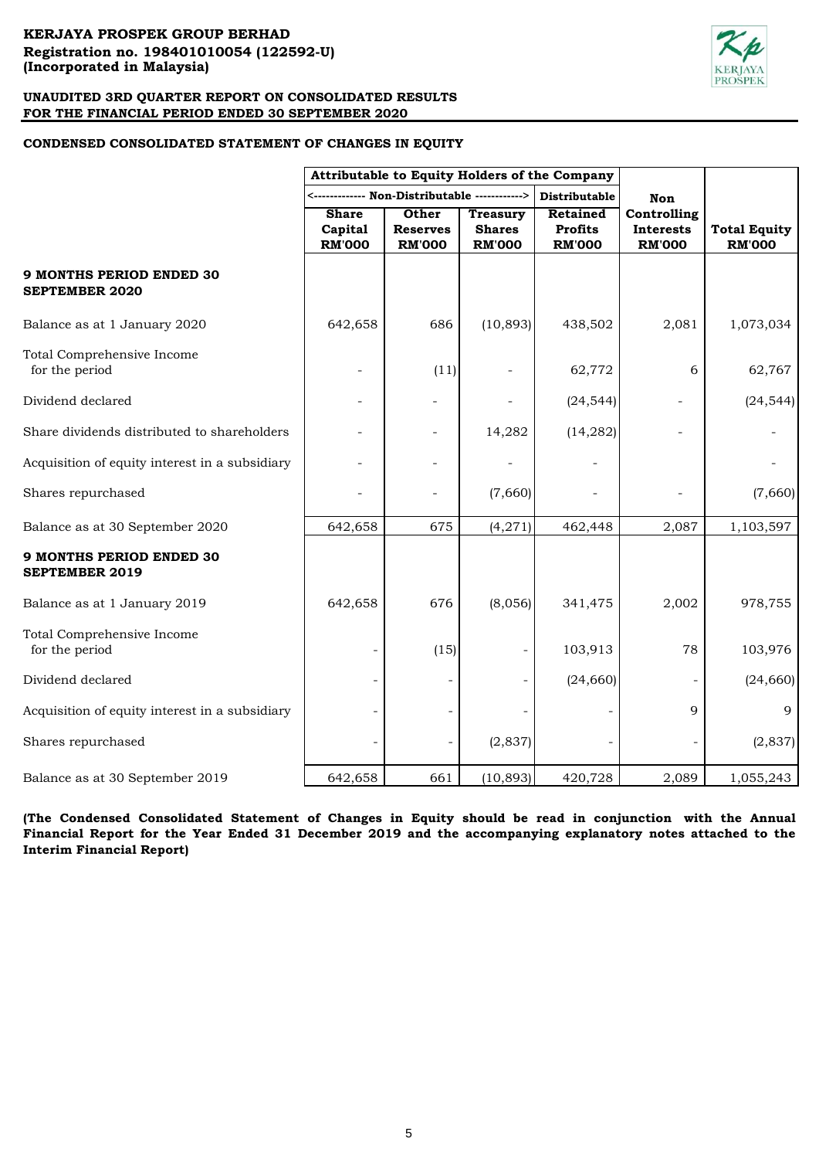

# **CONDENSED CONSOLIDATED STATEMENT OF CHANGES IN EQUITY**

|                                                          | Attributable to Equity Holders of the Company |                          |                 |                      |               |                     |
|----------------------------------------------------------|-----------------------------------------------|--------------------------|-----------------|----------------------|---------------|---------------------|
|                                                          |                                               |                          |                 | <b>Distributable</b> | <b>Non</b>    |                     |
|                                                          | <b>Share</b>                                  | Other                    | <b>Treasury</b> | Retained             | Controlling   |                     |
|                                                          | Capital                                       | <b>Reserves</b>          | <b>Shares</b>   | <b>Profits</b>       | Interests     | <b>Total Equity</b> |
|                                                          | <b>RM'000</b>                                 | <b>RM'000</b>            | <b>RM'000</b>   | <b>RM'000</b>        | <b>RM'000</b> | <b>RM'000</b>       |
| <b>9 MONTHS PERIOD ENDED 30</b><br><b>SEPTEMBER 2020</b> |                                               |                          |                 |                      |               |                     |
| Balance as at 1 January 2020                             | 642,658                                       | 686                      | (10, 893)       | 438,502              | 2,081         | 1,073,034           |
| Total Comprehensive Income<br>for the period             |                                               | (11)                     |                 | 62,772               | 6             | 62,767              |
| Dividend declared                                        |                                               |                          |                 | (24, 544)            |               | (24, 544)           |
| Share dividends distributed to shareholders              |                                               | $\sim$                   | 14,282          | (14, 282)            |               |                     |
| Acquisition of equity interest in a subsidiary           |                                               | ÷.                       |                 |                      |               |                     |
| Shares repurchased                                       |                                               | $\overline{\phantom{a}}$ | (7,660)         |                      |               | (7,660)             |
| Balance as at 30 September 2020                          | 642,658                                       | 675                      | (4, 271)        | 462,448              | 2,087         | 1,103,597           |
| <b>9 MONTHS PERIOD ENDED 30</b><br><b>SEPTEMBER 2019</b> |                                               |                          |                 |                      |               |                     |
| Balance as at 1 January 2019                             | 642,658                                       | 676                      | (8,056)         | 341,475              | 2,002         | 978,755             |
| Total Comprehensive Income<br>for the period             |                                               | (15)                     |                 | 103,913              | 78            | 103,976             |
| Dividend declared                                        |                                               |                          |                 | (24, 660)            |               | (24, 660)           |
| Acquisition of equity interest in a subsidiary           |                                               |                          |                 |                      | 9             | 9                   |
| Shares repurchased                                       |                                               |                          | (2,837)         |                      |               | (2,837)             |
| Balance as at 30 September 2019                          | 642,658                                       | 661                      | (10, 893)       | 420,728              | 2,089         | 1,055,243           |

**(The Condensed Consolidated Statement of Changes in Equity should be read in conjunction with the Annual** Financial Report for the Year Ended 31 December 2019 and the accompanying explanatory notes attached to the **Interim Financial Report)**

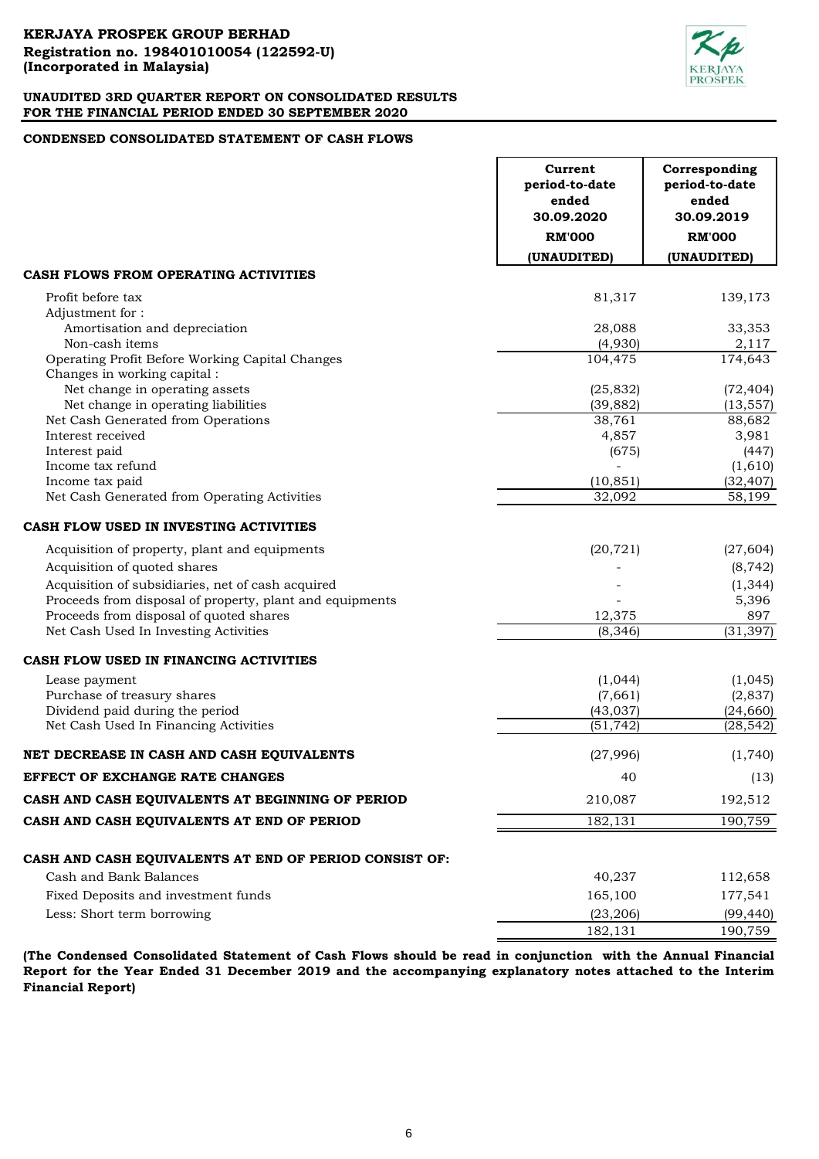

## **CONDENSED CONSOLIDATED STATEMENT OF CASH FLOWS**

|                                                                 | Current<br>period-to-date<br>ended<br>30.09.2020 | Corresponding<br>period-to-date<br>ended<br>30.09.2019 |
|-----------------------------------------------------------------|--------------------------------------------------|--------------------------------------------------------|
|                                                                 | <b>RM'000</b>                                    | <b>RM'000</b>                                          |
| CASH FLOWS FROM OPERATING ACTIVITIES                            | (UNAUDITED)                                      | (UNAUDITED)                                            |
|                                                                 |                                                  |                                                        |
| Profit before tax<br>Adjustment for:                            | 81,317                                           | 139,173                                                |
| Amortisation and depreciation                                   | 28,088                                           | 33,353                                                 |
| Non-cash items                                                  | (4,930)                                          | 2,117                                                  |
| Operating Profit Before Working Capital Changes                 | 104,475                                          | 174,643                                                |
| Changes in working capital:                                     |                                                  |                                                        |
| Net change in operating assets                                  | (25, 832)                                        | (72, 404)                                              |
| Net change in operating liabilities                             | (39, 882)                                        | (13, 557)                                              |
| Net Cash Generated from Operations                              | 38,761                                           | 88,682                                                 |
| Interest received                                               | 4,857                                            | 3,981                                                  |
| Interest paid                                                   | (675)                                            | (447)                                                  |
| Income tax refund                                               |                                                  | (1,610)                                                |
| Income tax paid<br>Net Cash Generated from Operating Activities | (10, 851)<br>32,092                              | (32, 407)<br>58,199                                    |
|                                                                 |                                                  |                                                        |
| CASH FLOW USED IN INVESTING ACTIVITIES                          |                                                  |                                                        |
| Acquisition of property, plant and equipments                   | (20, 721)                                        | (27, 604)                                              |
| Acquisition of quoted shares                                    |                                                  | (8, 742)                                               |
| Acquisition of subsidiaries, net of cash acquired               |                                                  | (1, 344)                                               |
| Proceeds from disposal of property, plant and equipments        |                                                  | 5,396                                                  |
| Proceeds from disposal of quoted shares                         | 12,375                                           | 897                                                    |
| Net Cash Used In Investing Activities                           | (8, 346)                                         | (31, 397)                                              |
| CASH FLOW USED IN FINANCING ACTIVITIES                          |                                                  |                                                        |
| Lease payment                                                   | (1,044)                                          | (1,045)                                                |
| Purchase of treasury shares                                     | (7,661)                                          | (2,837)                                                |
| Dividend paid during the period                                 | (43, 037)                                        | (24, 660)                                              |
| Net Cash Used In Financing Activities                           | (51, 742)                                        | (28, 542)                                              |
| NET DECREASE IN CASH AND CASH EQUIVALENTS                       | (27,996)                                         | (1,740)                                                |
| EFFECT OF EXCHANGE RATE CHANGES                                 | 40                                               | (13)                                                   |
| CASH AND CASH EQUIVALENTS AT BEGINNING OF PERIOD                | 210,087                                          | 192,512                                                |
| CASH AND CASH EQUIVALENTS AT END OF PERIOD                      | 182,131                                          | 190,759                                                |
| CASH AND CASH EQUIVALENTS AT END OF PERIOD CONSIST OF:          |                                                  |                                                        |
| Cash and Bank Balances                                          | 40,237                                           | 112,658                                                |
| Fixed Deposits and investment funds                             | 165,100                                          | 177,541                                                |
| Less: Short term borrowing                                      | (23, 206)                                        | (99, 440)                                              |
|                                                                 | 182,131                                          | 190,759                                                |
|                                                                 |                                                  |                                                        |

**(The Condensed Consolidated Statement of Cash Flows should be read in conjunction with the Annual Financial Report for the Year Ended 31 December 2019 and the accompanying explanatory notes attached to the Interim Financial Report)**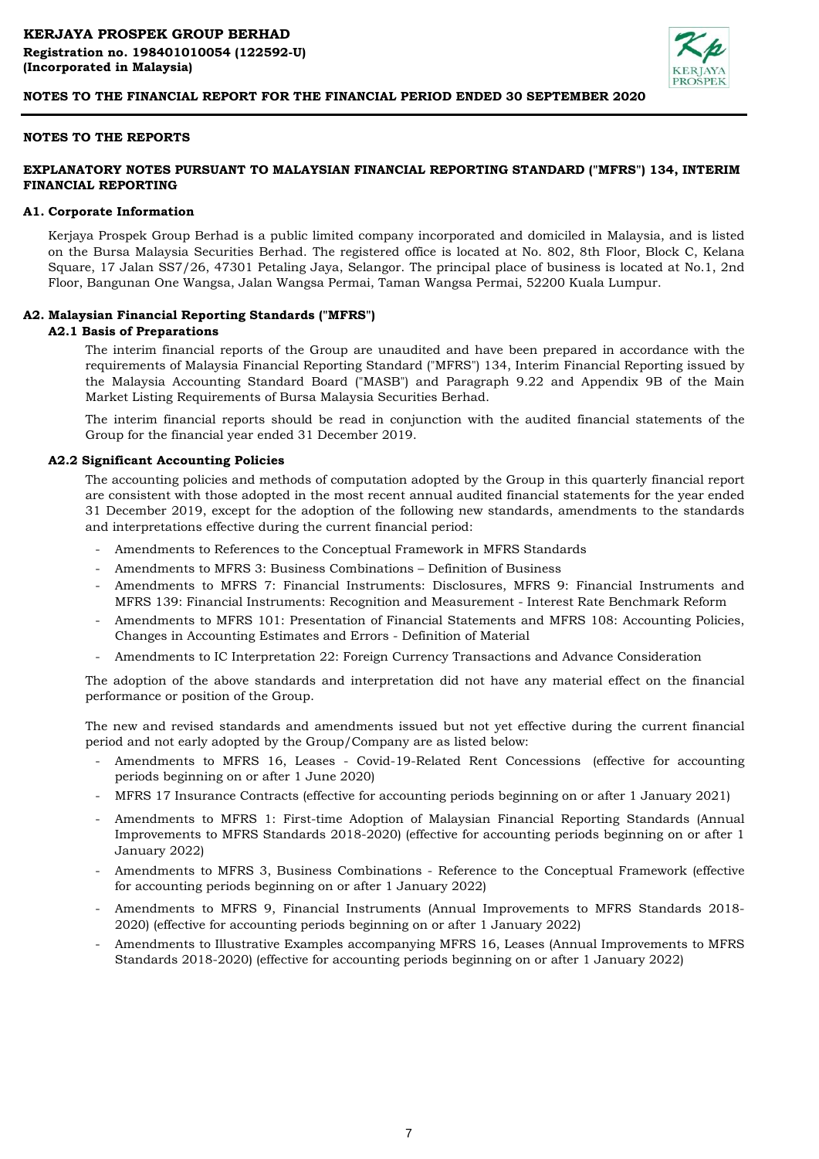

#### **NOTES TO THE REPORTS**

## **EXPLANATORY NOTES PURSUANT TO MALAYSIAN FINANCIAL REPORTING STANDARD ("MFRS") 134, INTERIM FINANCIAL REPORTING**

#### **A1. Corporate Information**

Kerjaya Prospek Group Berhad is a public limited company incorporated and domiciled in Malaysia, and is listed on the Bursa Malaysia Securities Berhad. The registered office is located at No. 802, 8th Floor, Block C, Kelana Square, 17 Jalan SS7/26, 47301 Petaling Jaya, Selangor. The principal place of business is located at No.1, 2nd Floor, Bangunan One Wangsa, Jalan Wangsa Permai, Taman Wangsa Permai, 52200 Kuala Lumpur.

#### **A2. Malaysian Financial Reporting Standards ("MFRS")**

#### **A2.1 Basis of Preparations**

The interim financial reports of the Group are unaudited and have been prepared in accordance with the requirements of Malaysia Financial Reporting Standard ("MFRS") 134, Interim Financial Reporting issued by the Malaysia Accounting Standard Board ("MASB") and Paragraph 9.22 and Appendix 9B of the Main Market Listing Requirements of Bursa Malaysia Securities Berhad.

The interim financial reports should be read in conjunction with the audited financial statements of the Group for the financial year ended 31 December 2019.

#### **A2.2 Significant Accounting Policies**

The accounting policies and methods of computation adopted by the Group in this quarterly financial report are consistent with those adopted in the most recent annual audited financial statements for the year ended 31 December 2019, except for the adoption of the following new standards, amendments to the standards and interpretations effective during the current financial period:

- Amendments to References to the Conceptual Framework in MFRS Standards
- Amendments to MFRS 3: Business Combinations Definition of Business
- Amendments to MFRS 7: Financial Instruments: Disclosures, MFRS 9: Financial Instruments and MFRS 139: Financial Instruments: Recognition and Measurement - Interest Rate Benchmark Reform
- Amendments to MFRS 101: Presentation of Financial Statements and MFRS 108: Accounting Policies, Changes in Accounting Estimates and Errors - Definition of Material
- Amendments to IC Interpretation 22: Foreign Currency Transactions and Advance Consideration

The adoption of the above standards and interpretation did not have any material effect on the financial performance or position of the Group.

The new and revised standards and amendments issued but not yet effective during the current financial period and not early adopted by the Group/Company are as listed below:

- Amendments to MFRS 16, Leases Covid-19-Related Rent Concessions (effective for accounting periods beginning on or after 1 June 2020)
- MFRS 17 Insurance Contracts (effective for accounting periods beginning on or after 1 January 2021)
- Amendments to MFRS 1: First-time Adoption of Malaysian Financial Reporting Standards (Annual Improvements to MFRS Standards 2018-2020) (effective for accounting periods beginning on or after 1 January 2022)
- Amendments to MFRS 3, Business Combinations - Reference to the Conceptual Framework (effective for accounting periods beginning on or after 1 January 2022)
- Amendments to MFRS 9, Financial Instruments (Annual Improvements to MFRS Standards 2018- 2020) (effective for accounting periods beginning on or after 1 January 2022)
- Amendments to Illustrative Examples accompanying MFRS 16, Leases (Annual Improvements to MFRS Standards 2018-2020) (effective for accounting periods beginning on or after 1 January 2022)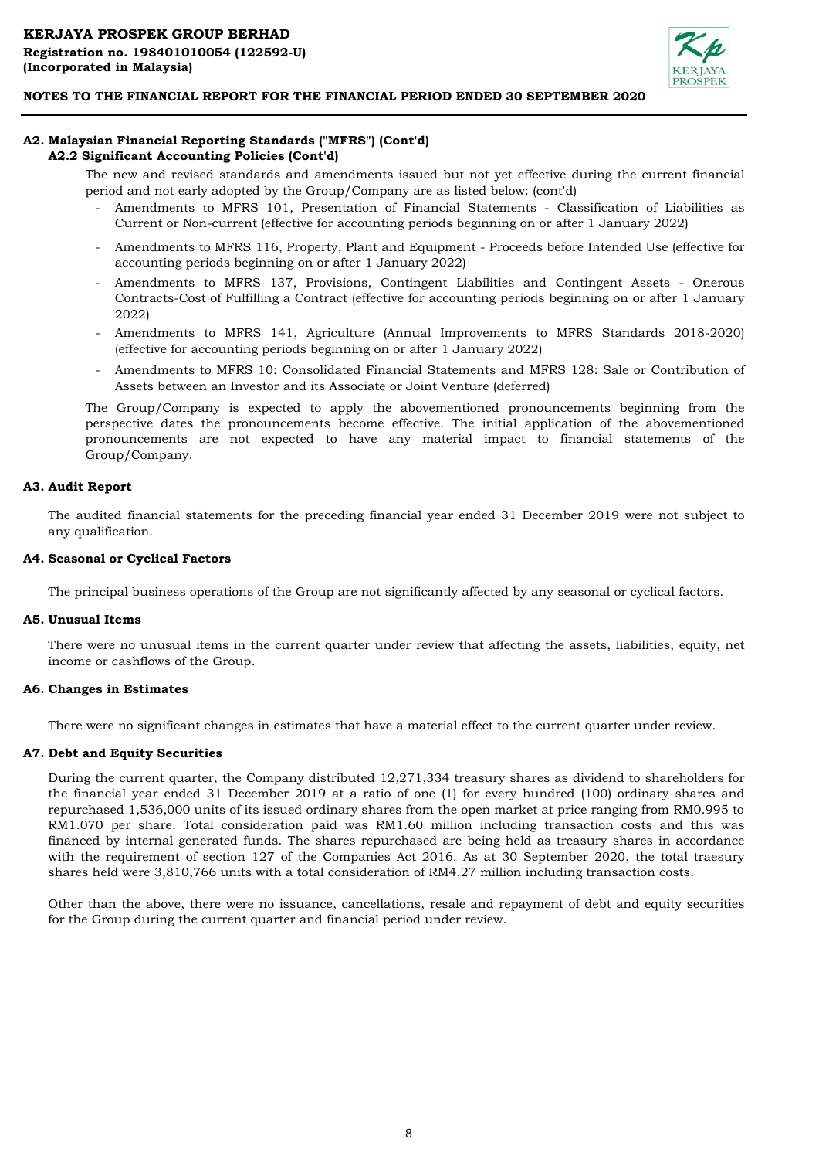

## **A2. Malaysian Financial Reporting Standards ("MFRS") (Cont'd) A2.2 Significant Accounting Policies (Cont'd)**

The new and revised standards and amendments issued but not yet effective during the current financial period and not early adopted by the Group/Company are as listed below: (cont'd)

- Amendments to MFRS 101, Presentation of Financial Statements - Classification of Liabilities as Current or Non-current (effective for accounting periods beginning on or after 1 January 2022)
- Amendments to MFRS 116, Property, Plant and Equipment - Proceeds before Intended Use (effective for accounting periods beginning on or after 1 January 2022)
- Amendments to MFRS 137, Provisions, Contingent Liabilities and Contingent Assets Onerous Contracts-Cost of Fulfilling a Contract (effective for accounting periods beginning on or after 1 January 2022)
- Amendments to MFRS 141, Agriculture (Annual Improvements to MFRS Standards 2018-2020) (effective for accounting periods beginning on or after 1 January 2022)
- Amendments to MFRS 10: Consolidated Financial Statements and MFRS 128: Sale or Contribution of Assets between an Investor and its Associate or Joint Venture (deferred)

The Group/Company is expected to apply the abovementioned pronouncements beginning from the perspective dates the pronouncements become effective. The initial application of the abovementioned pronouncements are not expected to have any material impact to financial statements of the Group/Company.

#### **A3. Audit Report**

The audited financial statements for the preceding financial year ended 31 December 2019 were not subject to any qualification.

#### **A4. Seasonal or Cyclical Factors**

The principal business operations of the Group are not significantly affected by any seasonal or cyclical factors.

#### **A5. Unusual Items**

There were no unusual items in the current quarter under review that affecting the assets, liabilities, equity, net income or cashflows of the Group.

#### **A6. Changes in Estimates**

There were no significant changes in estimates that have a material effect to the current quarter under review.

## **A7. Debt and Equity Securities**

During the current quarter, the Company distributed 12,271,334 treasury shares as dividend to shareholders for the financial year ended 31 December 2019 at a ratio of one (1) for every hundred (100) ordinary shares and repurchased 1,536,000 units of its issued ordinary shares from the open market at price ranging from RM0.995 to RM1.070 per share. Total consideration paid was RM1.60 million including transaction costs and this was financed by internal generated funds. The shares repurchased are being held as treasury shares in accordance with the requirement of section 127 of the Companies Act 2016. As at 30 September 2020, the total traesury shares held were 3,810,766 units with a total consideration of RM4.27 million including transaction costs.

Other than the above, there were no issuance, cancellations, resale and repayment of debt and equity securities for the Group during the current quarter and financial period under review.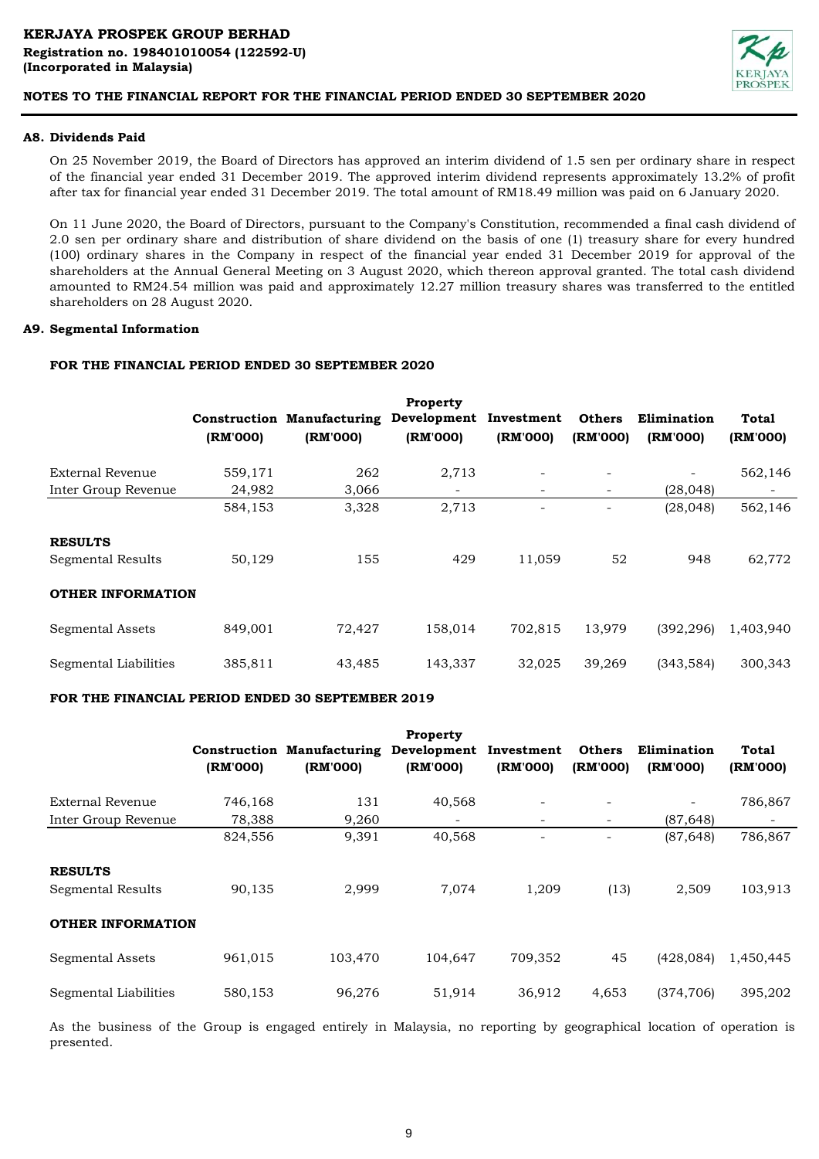

## **A8. Dividends Paid**

On 25 November 2019, the Board of Directors has approved an interim dividend of 1.5 sen per ordinary share in respect of the financial year ended 31 December 2019. The approved interim dividend represents approximately 13.2% of profit after tax for financial year ended 31 December 2019. The total amount of RM18.49 million was paid on 6 January 2020.

On 11 June 2020, the Board of Directors, pursuant to the Company's Constitution, recommended a final cash dividend of 2.0 sen per ordinary share and distribution of share dividend on the basis of one (1) treasury share for every hundred (100) ordinary shares in the Company in respect of the financial year ended 31 December 2019 for approval of the shareholders at the Annual General Meeting on 3 August 2020, which thereon approval granted. The total cash dividend amounted to RM24.54 million was paid and approximately 12.27 million treasury shares was transferred to the entitled shareholders on 28 August 2020.

## **A9. Segmental Information**

## **FOR THE FINANCIAL PERIOD ENDED 30 SEPTEMBER 2020**

|                                     | (RM'000) | <b>Construction Manufacturing</b><br>(RM'000) | <b>Property</b><br>Development<br>(RM'000) | Investment<br>(RM'000) | <b>Others</b><br>(RM'000) | Elimination<br>(RM'000) | Total<br>(RM'000) |
|-------------------------------------|----------|-----------------------------------------------|--------------------------------------------|------------------------|---------------------------|-------------------------|-------------------|
| External Revenue                    | 559,171  | 262                                           | 2,713                                      |                        |                           |                         | 562,146           |
| Inter Group Revenue                 | 24,982   | 3,066                                         |                                            |                        | -                         | (28, 048)               |                   |
|                                     | 584,153  | 3,328                                         | 2,713                                      |                        |                           | (28, 048)               | 562,146           |
| <b>RESULTS</b><br>Segmental Results | 50,129   | 155                                           | 429                                        | 11,059                 | 52                        | 948                     | 62,772            |
| <b>OTHER INFORMATION</b>            |          |                                               |                                            |                        |                           |                         |                   |
| Segmental Assets                    | 849,001  | 72,427                                        | 158,014                                    | 702.815                | 13,979                    | (392, 296)              | 1,403,940         |
| Segmental Liabilities               | 385,811  | 43,485                                        | 143,337                                    | 32,025                 | 39,269                    | (343,584)               | 300,343           |

## **FOR THE FINANCIAL PERIOD ENDED 30 SEPTEMBER 2019**

|                          |          |                                   | Property    |                          |                          |             |           |
|--------------------------|----------|-----------------------------------|-------------|--------------------------|--------------------------|-------------|-----------|
|                          |          | <b>Construction Manufacturing</b> | Development | Investment               | <b>Others</b>            | Elimination | Total     |
|                          | (RM'000) | (RM'000)                          | (RM'000)    | (RM'000)                 | (RM'000)                 | (RM'000)    | (RM'000)  |
| External Revenue         | 746,168  | 131                               | 40,568      | $\overline{\phantom{a}}$ |                          |             | 786,867   |
| Inter Group Revenue      | 78,388   | 9,260                             |             | ٠.                       | $\overline{\phantom{a}}$ | (87, 648)   |           |
|                          | 824,556  | 9,391                             | 40,568      |                          |                          | (87, 648)   | 786,867   |
| <b>RESULTS</b>           |          |                                   |             |                          |                          |             |           |
| Segmental Results        | 90,135   | 2,999                             | 7,074       | 1,209                    | (13)                     | 2,509       | 103,913   |
| <b>OTHER INFORMATION</b> |          |                                   |             |                          |                          |             |           |
| Segmental Assets         | 961,015  | 103,470                           | 104.647     | 709,352                  | 45                       | (428, 084)  | 1,450,445 |
| Segmental Liabilities    | 580,153  | 96,276                            | 51,914      | 36,912                   | 4,653                    | (374, 706)  | 395,202   |

As the business of the Group is engaged entirely in Malaysia, no reporting by geographical location of operation is presented.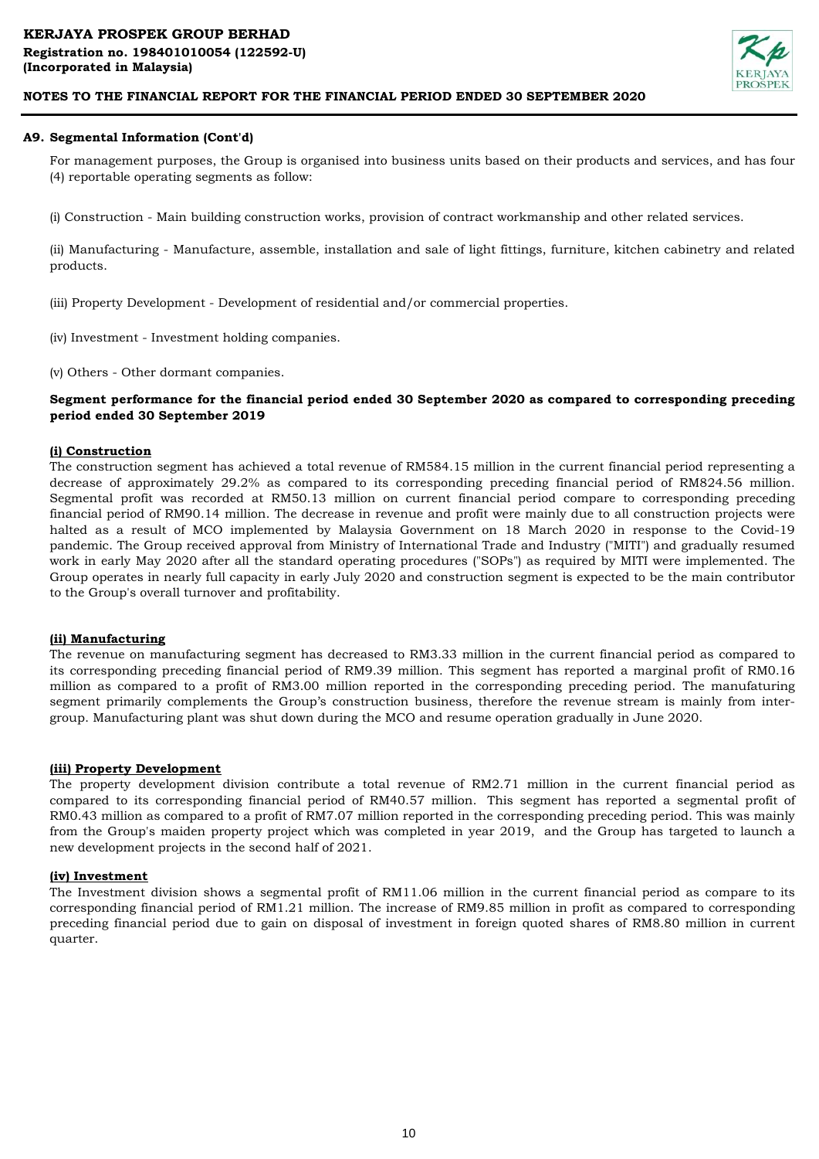

## **A9. Segmental Information (Cont'd)**

For management purposes, the Group is organised into business units based on their products and services, and has four (4) reportable operating segments as follow:

(i) Construction - Main building construction works, provision of contract workmanship and other related services.

(ii) Manufacturing - Manufacture, assemble, installation and sale of light fittings, furniture, kitchen cabinetry and related products.

(iii) Property Development - Development of residential and/or commercial properties.

(iv) Investment - Investment holding companies.

(v) Others - Other dormant companies.

## **Segment performance for the financial period ended 30 September 2020 as compared to corresponding preceding period ended 30 September 2019**

#### **(i) Construction**

The construction segment has achieved a total revenue of RM584.15 million in the current financial period representing a decrease of approximately 29.2% as compared to its corresponding preceding financial period of RM824.56 million. Segmental profit was recorded at RM50.13 million on current financial period compare to corresponding preceding financial period of RM90.14 million. The decrease in revenue and profit were mainly due to all construction projects were halted as a result of MCO implemented by Malaysia Government on 18 March 2020 in response to the Covid-19 pandemic. The Group received approval from Ministry of International Trade and Industry ("MITI") and gradually resumed work in early May 2020 after all the standard operating procedures ("SOPs") as required by MITI were implemented. The Group operates in nearly full capacity in early July 2020 and construction segment is expected to be the main contributor to the Group's overall turnover and profitability.

## **(ii) Manufacturing**

The revenue on manufacturing segment has decreased to RM3.33 million in the current financial period as compared to its corresponding preceding financial period of RM9.39 million. This segment has reported a marginal profit of RM0.16 million as compared to a profit of RM3.00 million reported in the corresponding preceding period. The manufaturing segment primarily complements the Group's construction business, therefore the revenue stream is mainly from intergroup. Manufacturing plant was shut down during the MCO and resume operation gradually in June 2020.

#### **(iii) Property Development**

The property development division contribute a total revenue of RM2.71 million in the current financial period as compared to its corresponding financial period of RM40.57 million. This segment has reported a segmental profit of RM0.43 million as compared to a profit of RM7.07 million reported in the corresponding preceding period. This was mainly from the Group's maiden property project which was completed in year 2019, and the Group has targeted to launch a new development projects in the second half of 2021.

#### **(iv) Investment**

The Investment division shows a segmental profit of RM11.06 million in the current financial period as compare to its corresponding financial period of RM1.21 million. The increase of RM9.85 million in profit as compared to corresponding preceding financial period due to gain on disposal of investment in foreign quoted shares of RM8.80 million in current quarter.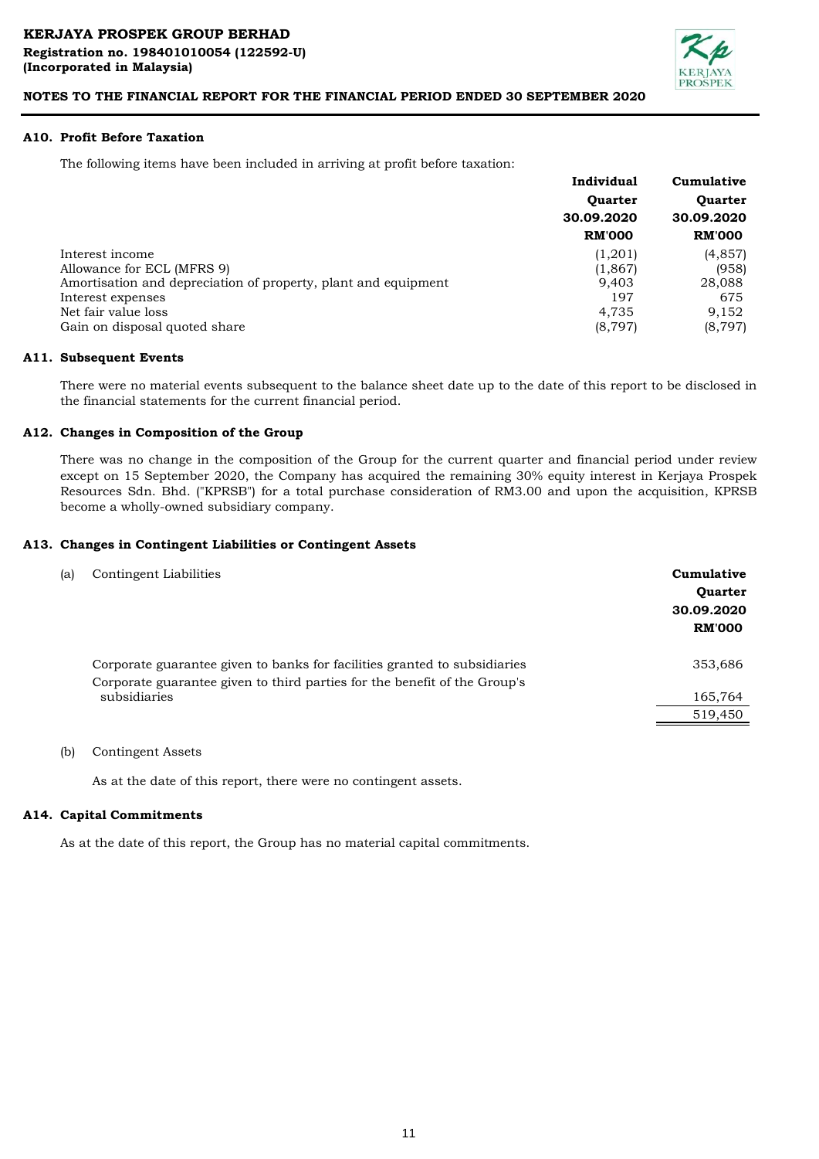

### **A10. Profit Before Taxation**

The following items have been included in arriving at profit before taxation:

|                                                                | Individual     | Cumulative     |
|----------------------------------------------------------------|----------------|----------------|
|                                                                | <b>Ouarter</b> | <b>Ouarter</b> |
|                                                                | 30.09.2020     | 30.09.2020     |
|                                                                | <b>RM'000</b>  | <b>RM'000</b>  |
| Interest income                                                | (1,201)        | (4, 857)       |
| Allowance for ECL (MFRS 9)                                     | (1, 867)       | (958)          |
| Amortisation and depreciation of property, plant and equipment | 9.403          | 28,088         |
| Interest expenses                                              | 197            | 675            |
| Net fair value loss                                            | 4.735          | 9,152          |
| Gain on disposal quoted share                                  | (8, 797)       | (8, 797)       |

#### **A11. Subsequent Events**

There were no material events subsequent to the balance sheet date up to the date of this report to be disclosed in the financial statements for the current financial period.

#### **A12. Changes in Composition of the Group**

There was no change in the composition of the Group for the current quarter and financial period under review except on 15 September 2020, the Company has acquired the remaining 30% equity interest in Kerjaya Prospek Resources Sdn. Bhd. ("KPRSB") for a total purchase consideration of RM3.00 and upon the acquisition, KPRSB become a wholly-owned subsidiary company.

#### **A13. Changes in Contingent Liabilities or Contingent Assets**

| (a) | Contingent Liabilities                                                                    | Cumulative<br><b>Ouarter</b><br>30.09.2020<br><b>RM'000</b> |
|-----|-------------------------------------------------------------------------------------------|-------------------------------------------------------------|
|     | Corporate guarantee given to banks for facilities granted to subsidiaries                 | 353,686                                                     |
|     | Corporate guarantee given to third parties for the benefit of the Group's<br>subsidiaries | 165,764<br>519,450                                          |
|     |                                                                                           |                                                             |

#### (b) Contingent Assets

As at the date of this report, there were no contingent assets.

#### **A14. Capital Commitments**

As at the date of this report, the Group has no material capital commitments.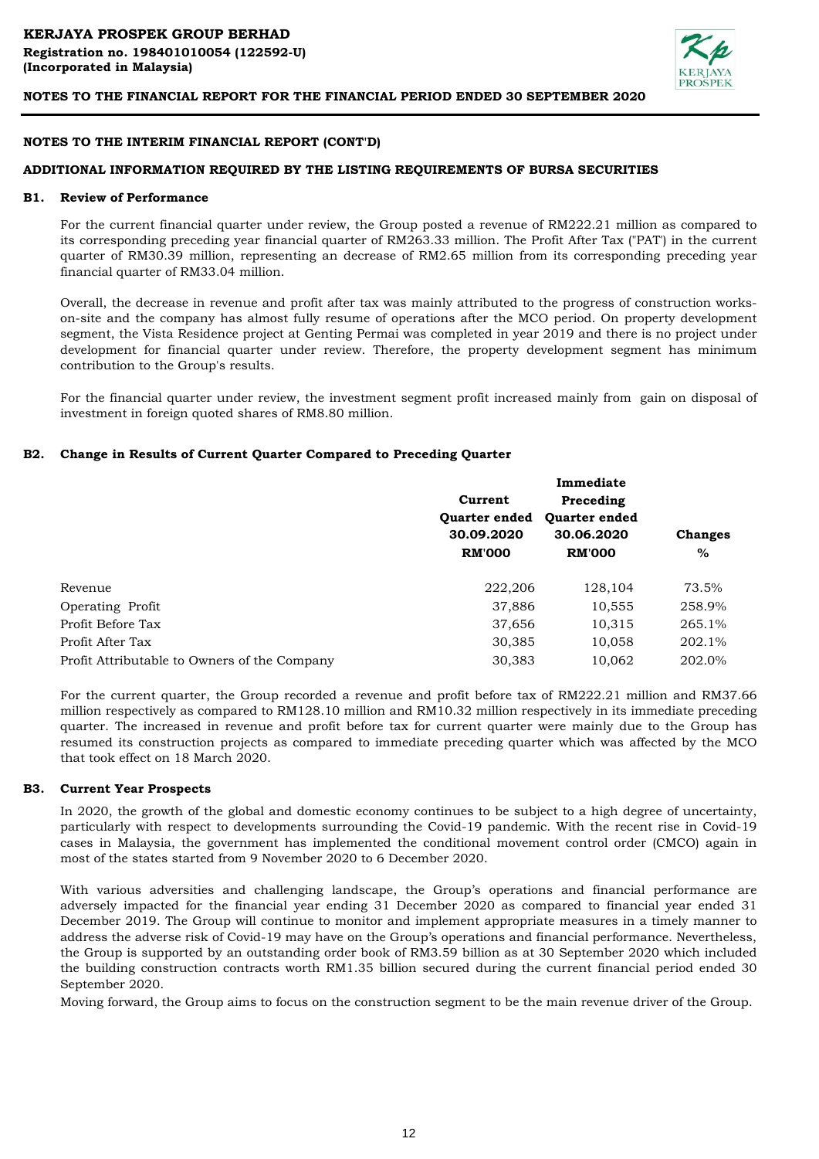

#### **NOTES TO THE INTERIM FINANCIAL REPORT (CONT'D)**

## **ADDITIONAL INFORMATION REQUIRED BY THE LISTING REQUIREMENTS OF BURSA SECURITIES**

#### **B1. Review of Performance**

For the current financial quarter under review, the Group posted a revenue of RM222.21 million as compared to its corresponding preceding year financial quarter of RM263.33 million. The Profit After Tax ("PAT') in the current quarter of RM30.39 million, representing an decrease of RM2.65 million from its corresponding preceding year financial quarter of RM33.04 million.

Overall, the decrease in revenue and profit after tax was mainly attributed to the progress of construction workson-site and the company has almost fully resume of operations after the MCO period. On property development segment, the Vista Residence project at Genting Permai was completed in year 2019 and there is no project under development for financial quarter under review. Therefore, the property development segment has minimum contribution to the Group's results.

For the financial quarter under review, the investment segment profit increased mainly from gain on disposal of investment in foreign quoted shares of RM8.80 million.

## **B2. Change in Results of Current Quarter Compared to Preceding Quarter**

|                                              |                      | Immediate            |                |
|----------------------------------------------|----------------------|----------------------|----------------|
|                                              | Current              | Preceding            |                |
|                                              | <b>Ouarter ended</b> | <b>Ouarter ended</b> |                |
|                                              | 30.09.2020           | 30.06.2020           | <b>Changes</b> |
|                                              | <b>RM'000</b>        | <b>RM'000</b>        | $\%$           |
| Revenue                                      | 222,206              | 128,104              | 73.5%          |
| Operating Profit                             | 37,886               | 10,555               | 258.9%         |
| Profit Before Tax                            | 37,656               | 10,315               | 265.1%         |
| Profit After Tax                             | 30,385               | 10,058               | 202.1%         |
| Profit Attributable to Owners of the Company | 30,383               | 10,062               | 202.0%         |

For the current quarter, the Group recorded a revenue and profit before tax of RM222.21 million and RM37.66 million respectively as compared to RM128.10 million and RM10.32 million respectively in its immediate preceding quarter. The increased in revenue and profit before tax for current quarter were mainly due to the Group has resumed its construction projects as compared to immediate preceding quarter which was affected by the MCO that took effect on 18 March 2020.

#### **B3. Current Year Prospects**

In 2020, the growth of the global and domestic economy continues to be subject to a high degree of uncertainty, particularly with respect to developments surrounding the Covid-19 pandemic. With the recent rise in Covid-19 cases in Malaysia, the government has implemented the conditional movement control order (CMCO) again in most of the states started from 9 November 2020 to 6 December 2020.

With various adversities and challenging landscape, the Group's operations and financial performance are adversely impacted for the financial year ending 31 December 2020 as compared to financial year ended 31 December 2019. The Group will continue to monitor and implement appropriate measures in a timely manner to address the adverse risk of Covid-19 may have on the Group's operations and financial performance. Nevertheless, the Group is supported by an outstanding order book of RM3.59 billion as at 30 September 2020 which included the building construction contracts worth RM1.35 billion secured during the current financial period ended 30 September 2020.

Moving forward, the Group aims to focus on the construction segment to be the main revenue driver of the Group.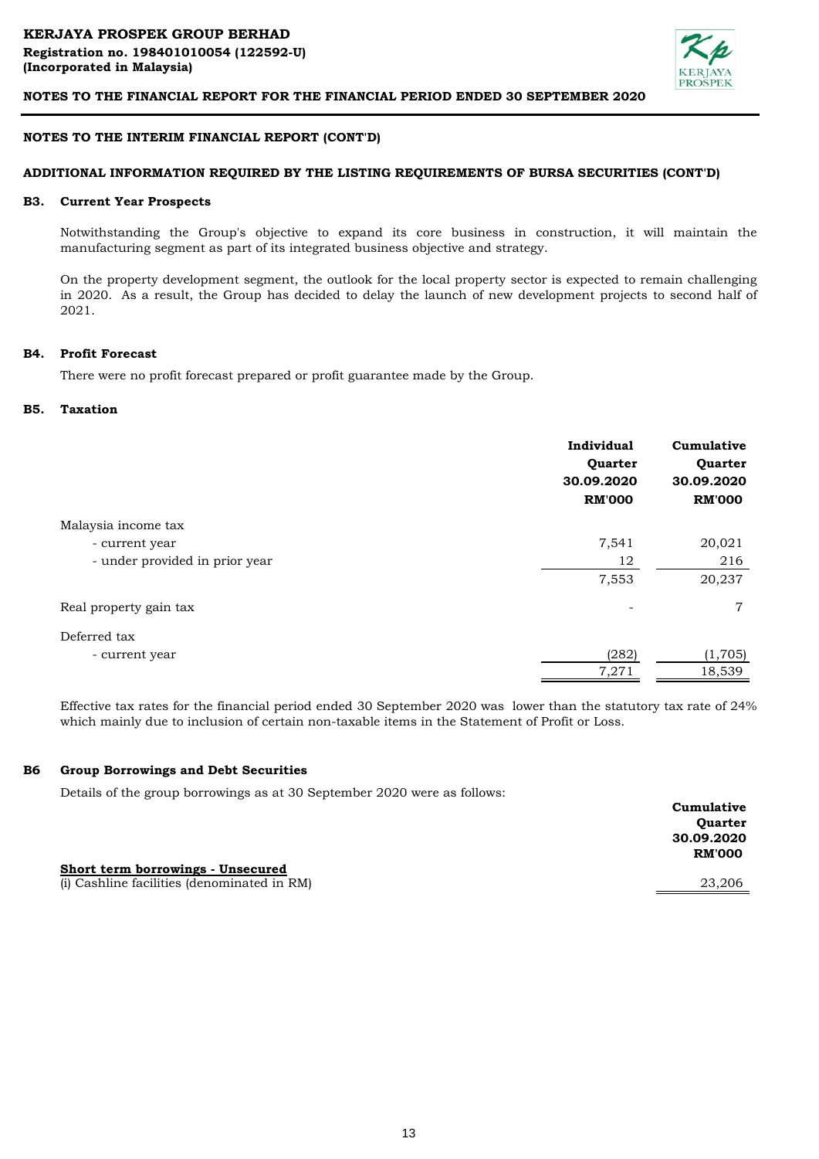

## **NOTES TO THE INTERIM FINANCIAL REPORT (CONT'D)**

### **ADDITIONAL INFORMATION REQUIRED BY THE LISTING REQUIREMENTS OF BURSA SECURITIES (CONT'D)**

#### **B3. Current Year Prospects**

Notwithstanding the Group's objective to expand its core business in construction, it will maintain the manufacturing segment as part of its integrated business objective and strategy.

On the property development segment, the outlook for the local property sector is expected to remain challenging in 2020. As a result, the Group has decided to delay the launch of new development projects to second half of 2021.

#### **B4. Profit Forecast**

There were no profit forecast prepared or profit guarantee made by the Group.

#### **B5. Taxation**

|                                | Individual<br>Quarter<br>30.09.2020<br><b>RM'000</b> | Cumulative<br>Quarter<br>30.09.2020<br><b>RM'000</b> |
|--------------------------------|------------------------------------------------------|------------------------------------------------------|
| Malaysia income tax            |                                                      |                                                      |
| - current year                 | 7,541                                                | 20,021                                               |
| - under provided in prior year | 12                                                   | 216                                                  |
|                                | 7,553                                                | 20,237                                               |
| Real property gain tax         |                                                      | 7                                                    |
| Deferred tax                   |                                                      |                                                      |
| - current year                 | (282)                                                | (1,705)                                              |
|                                | 7,271                                                | 18,539                                               |

Effective tax rates for the financial period ended 30 September 2020 was lower than the statutory tax rate of 24% which mainly due to inclusion of certain non-taxable items in the Statement of Profit or Loss.

#### **B6 Group Borrowings and Debt Securities**

Details of the group borrowings as at 30 September 2020 were as follows:

|                                             | Cumulative     |
|---------------------------------------------|----------------|
|                                             | <b>Quarter</b> |
|                                             | 30.09.2020     |
|                                             | <b>RM'000</b>  |
| Short term borrowings - Unsecured           |                |
| (i) Cashline facilities (denominated in RM) | 23,206         |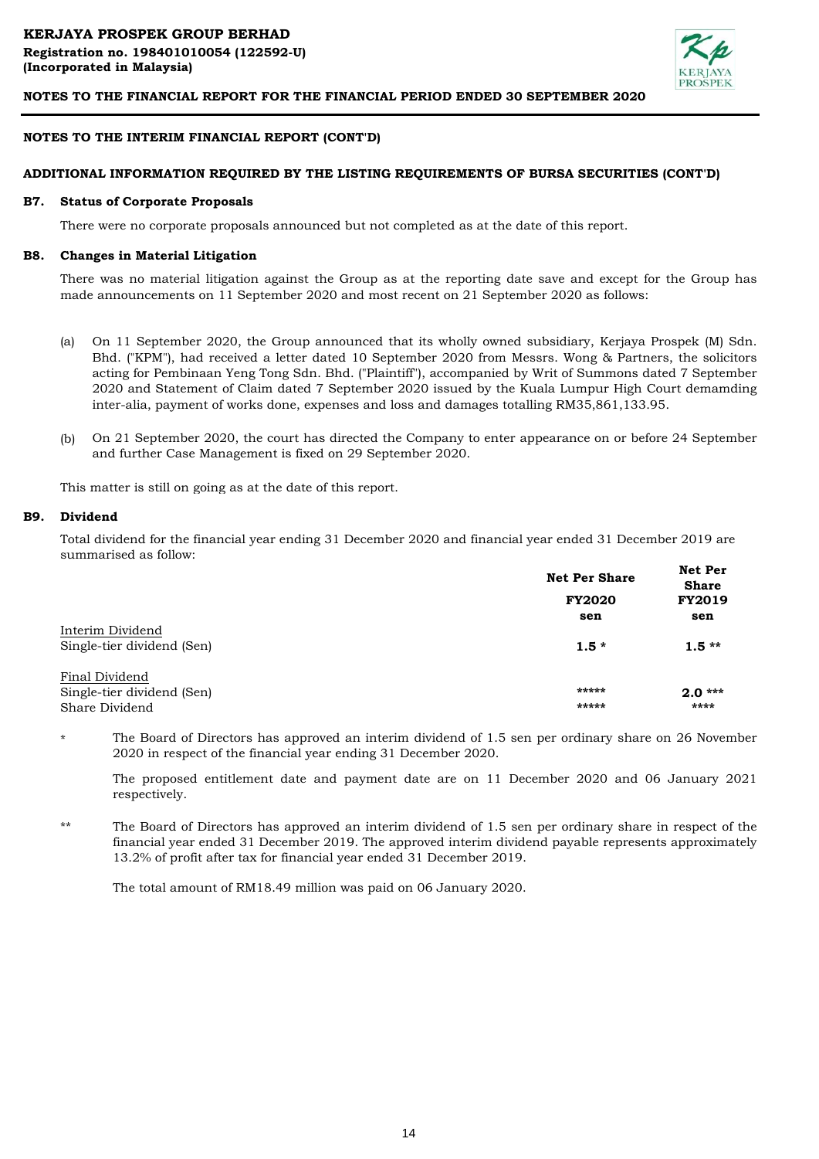

### **NOTES TO THE INTERIM FINANCIAL REPORT (CONT'D)**

#### **ADDITIONAL INFORMATION REQUIRED BY THE LISTING REQUIREMENTS OF BURSA SECURITIES (CONT'D)**

#### **B7. Status of Corporate Proposals**

There were no corporate proposals announced but not completed as at the date of this report.

#### **B8. Changes in Material Litigation**

There was no material litigation against the Group as at the reporting date save and except for the Group has made announcements on 11 September 2020 and most recent on 21 September 2020 as follows:

- (a) On 11 September 2020, the Group announced that its wholly owned subsidiary, Kerjaya Prospek (M) Sdn. Bhd. ("KPM"), had received a letter dated 10 September 2020 from Messrs. Wong & Partners, the solicitors acting for Pembinaan Yeng Tong Sdn. Bhd. ("Plaintiff"), accompanied by Writ of Summons dated 7 September 2020 and Statement of Claim dated 7 September 2020 issued by the Kuala Lumpur High Court demamding inter-alia, payment of works done, expenses and loss and damages totalling RM35,861,133.95.
- (b) On 21 September 2020, the court has directed the Company to enter appearance on or before 24 September and further Case Management is fixed on 29 September 2020.

This matter is still on going as at the date of this report.

#### **B9. Dividend**

Total dividend for the financial year ending 31 December 2020 and financial year ended 31 December 2019 are summarised as follow:

|                            | <b>Net Per Share</b> | <b>Net Per</b><br><b>Share</b> |
|----------------------------|----------------------|--------------------------------|
|                            | <b>FY2020</b>        | <b>FY2019</b>                  |
|                            | sen                  | sen                            |
| Interim Dividend           |                      |                                |
| Single-tier dividend (Sen) | $1.5*$               | $1.5**$                        |
| Final Dividend             |                      |                                |
| Single-tier dividend (Sen) | *****                | $2.0***$                       |
| Share Dividend             | *****                | ****                           |

\* The Board of Directors has approved an interim dividend of 1.5 sen per ordinary share on 26 November 2020 in respect of the financial year ending 31 December 2020.

The proposed entitlement date and payment date are on 11 December 2020 and 06 January 2021 respectively.

\*\* The Board of Directors has approved an interim dividend of 1.5 sen per ordinary share in respect of the financial year ended 31 December 2019. The approved interim dividend payable represents approximately 13.2% of profit after tax for financial year ended 31 December 2019.

The total amount of RM18.49 million was paid on 06 January 2020.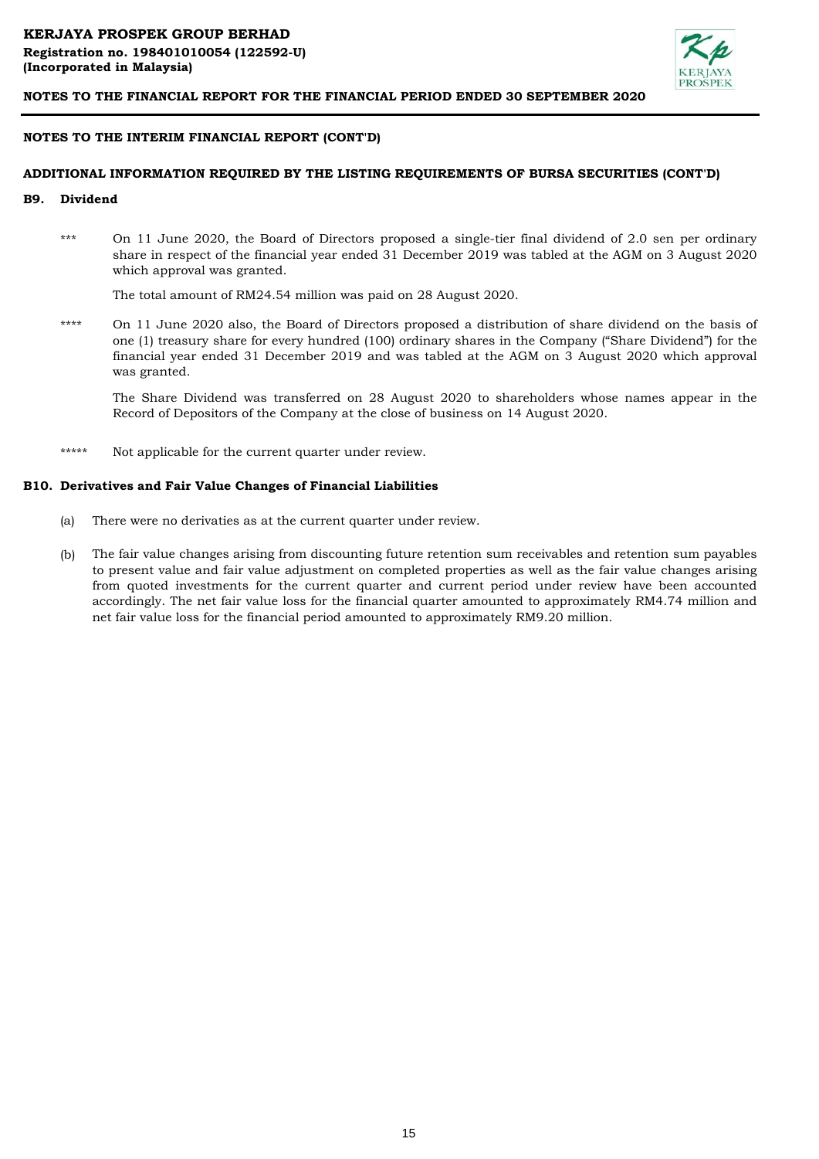

#### **NOTES TO THE INTERIM FINANCIAL REPORT (CONT'D)**

#### **ADDITIONAL INFORMATION REQUIRED BY THE LISTING REQUIREMENTS OF BURSA SECURITIES (CONT'D)**

#### **B9. Dividend**

\*\*\* On 11 June 2020, the Board of Directors proposed a single-tier final dividend of 2.0 sen per ordinary share in respect of the financial year ended 31 December 2019 was tabled at the AGM on 3 August 2020 which approval was granted.

The total amount of RM24.54 million was paid on 28 August 2020.

\*\*\*\* On 11 June 2020 also, the Board of Directors proposed a distribution of share dividend on the basis of one (1) treasury share for every hundred (100) ordinary shares in the Company ("Share Dividend") for the financial year ended 31 December 2019 and was tabled at the AGM on 3 August 2020 which approval was granted.

The Share Dividend was transferred on 28 August 2020 to shareholders whose names appear in the Record of Depositors of the Company at the close of business on 14 August 2020.

\*\*\*\*\* Not applicable for the current quarter under review.

#### **B10. Derivatives and Fair Value Changes of Financial Liabilities**

- (a) There were no derivaties as at the current quarter under review.
- (b) The fair value changes arising from discounting future retention sum receivables and retention sum payables to present value and fair value adjustment on completed properties as well as the fair value changes arising from quoted investments for the current quarter and current period under review have been accounted accordingly. The net fair value loss for the financial quarter amounted to approximately RM4.74 million and net fair value loss for the financial period amounted to approximately RM9.20 million.